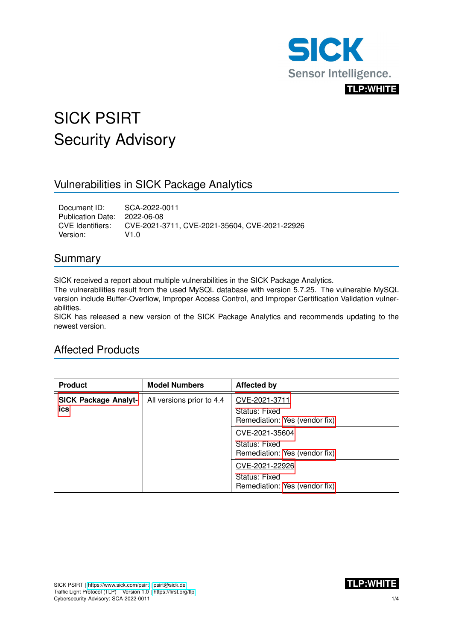

# SICK PSIRT Security Advisory

## Vulnerabilities in SICK Package Analytics

Document ID: SCA-2022-0011 Publication Date: 2022-06-08<br>CVE Identifiers: CVE-2021-3 CVE-2021-3711, CVE-2021-35604, CVE-2021-22926 Version: V1.0

## Summary

SICK received a report about multiple vulnerabilities in the SICK Package Analytics.

The vulnerabilities result from the used MySQL database with version 5.7.25. The vulnerable MySQL version include Buffer-Overflow, Improper Access Control, and Improper Certification Validation vulnerabilities.

SICK has released a new version of the SICK Package Analytics and recommends updating to the newest version.

## Affected Products

| <b>Product</b>                     | <b>Model Numbers</b>      | <b>Affected by</b>                                               |
|------------------------------------|---------------------------|------------------------------------------------------------------|
| <b>SICK Package Analyt-</b><br>ics | All versions prior to 4.4 | CVE-2021-3711<br>Status: Fixed<br>Remediation: Yes (vendor fix)  |
|                                    |                           | CVE-2021-35604<br>Status: Fixed<br>Remediation: Yes (vendor fix) |
|                                    |                           | CVE-2021-22926<br>Status: Fixed<br>Remediation: Yes (vendor fix) |

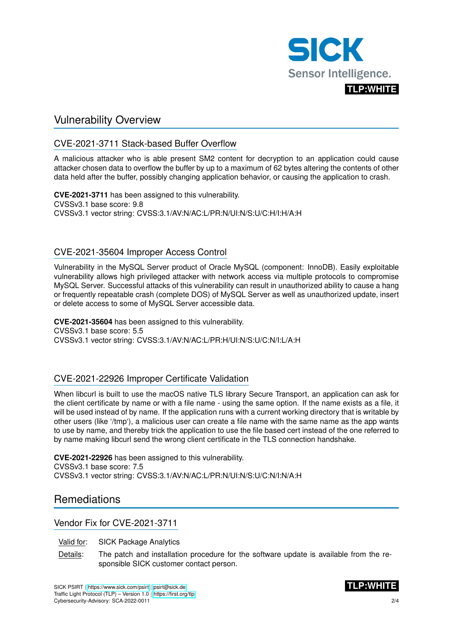

## Vulnerability Overview

#### <span id="page-1-0"></span>CVE-2021-3711 Stack-based Buffer Overflow

A malicious attacker who is able present SM2 content for decryption to an application could cause attacker chosen data to overflow the buffer by up to a maximum of 62 bytes altering the contents of other data held after the buffer, possibly changing application behavior, or causing the application to crash.

**CVE-2021-3711** has been assigned to this vulnerability. CVSSv3.1 base score: 9.8 CVSSv3.1 vector string: CVSS:3.1/AV:N/AC:L/PR:N/UI:N/S:U/C:H/I:H/A:H

#### <span id="page-1-2"></span>CVE-2021-35604 Improper Access Control

Vulnerability in the MySQL Server product of Oracle MySQL (component: InnoDB). Easily exploitable vulnerability allows high privileged attacker with network access via multiple protocols to compromise MySQL Server. Successful attacks of this vulnerability can result in unauthorized ability to cause a hang or frequently repeatable crash (complete DOS) of MySQL Server as well as unauthorized update, insert or delete access to some of MySQL Server accessible data.

**CVE-2021-35604** has been assigned to this vulnerability. CVSSv3.1 base score: 5.5 CVSSv3.1 vector string: CVSS:3.1/AV:N/AC:L/PR:H/UI:N/S:U/C:N/I:L/A:H

#### <span id="page-1-4"></span>CVE-2021-22926 Improper Certificate Validation

When libcurl is built to use the macOS native TLS library Secure Transport, an application can ask for the client certificate by name or with a file name - using the same option. If the name exists as a file, it will be used instead of by name. If the application runs with a current working directory that is writable by other users (like '/tmp'), a malicious user can create a file name with the same name as the app wants to use by name, and thereby trick the application to use the file based cert instead of the one referred to by name making libcurl send the wrong client certificate in the TLS connection handshake.

**CVE-2021-22926** has been assigned to this vulnerability. CVSSv3.1 base score: 7.5 CVSSv3.1 vector string: CVSS:3.1/AV:N/AC:L/PR:N/UI:N/S:U/C:N/I:N/A:H

## **Remediations**

#### <span id="page-1-1"></span>Vendor Fix for CVE-2021-3711

Valid for: SICK Package Analytics

Details: The patch and installation procedure for the software update is available from the responsible SICK customer contact person.

<span id="page-1-3"></span>SICK PSIRT | <https://www.sick.com/psirt> | [psirt@sick.de](mailto:psirt@sick.de) Traffic Light Protocol (TLP) – Version 1.0 | <https://first.org/tlp> Cybersecurity-Advisory: SCA-2022-0011

2/4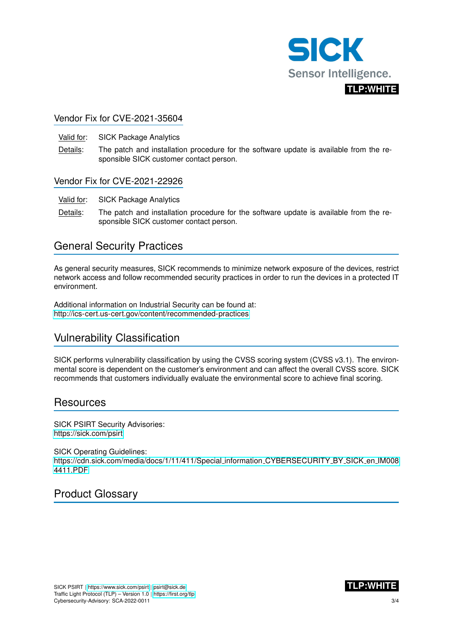

### Vendor Fix for CVE-2021-35604

- Valid for: SICK Package Analytics
- Details: The patch and installation procedure for the software update is available from the responsible SICK customer contact person.

#### <span id="page-2-0"></span>Vendor Fix for CVE-2021-22926

- Valid for: SICK Package Analytics
- Details: The patch and installation procedure for the software update is available from the responsible SICK customer contact person.

## General Security Practices

As general security measures, SICK recommends to minimize network exposure of the devices, restrict network access and follow recommended security practices in order to run the devices in a protected IT environment.

Additional information on Industrial Security can be found at: <http://ics-cert.us-cert.gov/content/recommended-practices>

## Vulnerability Classification

SICK performs vulnerability classification by using the CVSS scoring system (CVSS v3.1). The environmental score is dependent on the customer's environment and can affect the overall CVSS score. SICK recommends that customers individually evaluate the environmental score to achieve final scoring.

## **Resources**

SICK PSIRT Security Advisories: <https://sick.com/psirt>

SICK Operating Guidelines: [https://cdn.sick.com/media/docs/1/11/411/Special](https://cdn.sick.com/media/docs/1/11/411/Special_information_CYBERSECURITY_BY_SICK_en_IM0084411.PDF) information CYBERSECURITY BY SICK en IM008 [4411.PDF](https://cdn.sick.com/media/docs/1/11/411/Special_information_CYBERSECURITY_BY_SICK_en_IM0084411.PDF)

## Product Glossary